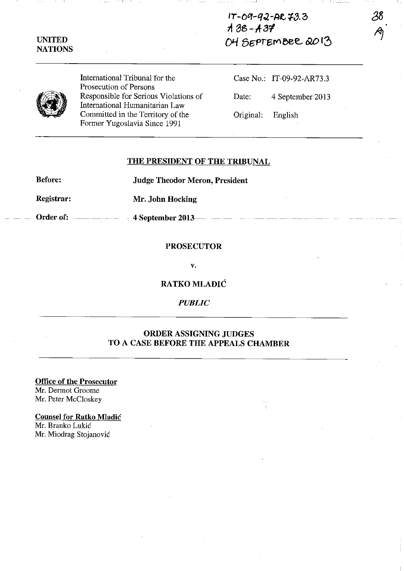## **IT-09-92-AR73.3 11 8B-A-J1 ()I-{ Bgf'r6fV'eee.** *&0* **13**

## **UNITED NATIONS**

International Tribunal for the Prosecution of Persons Responsible for Serious Violations of International Humanitarian Law Committed in the Territory of the Former Yugoslavia Since 1991

Case No.: IT-09-92-AR73.3 Date: 4 September 2013

Original: English

**THE PRESIDENT OF THE TRIBUNAL** 

**Before: Judge Theodor Meron, President** 

**Registrar: Mr. John Hocking** 

Order of: **4-September 2013** - -

## **PROSECUTOR**

v.

**RATKO MLADIC** 

*PUBLIC* 

## **ORDER ASSIGNING JUDGES TO A CASE BEFORE THE APPEALS CHAMBER**

**Office of the Prosecutor**  Mr. Dermot Groome Mr. Peter McCloskey

**Counsel for Ratko Mladic**  Mr. Branko Lukic Mr. Miodrag Stojanovic